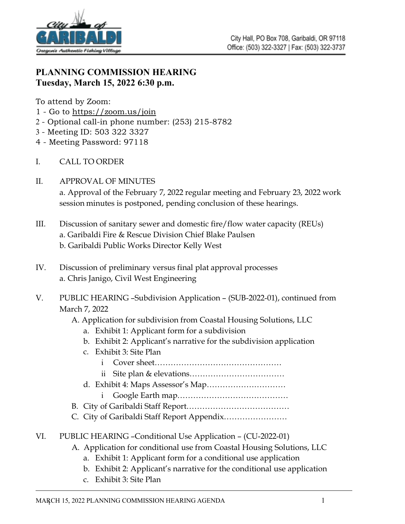

## **PLANNING COMMISSION HEARING Tuesday, March 15, 2022 6:30 p.m.**

To attend by Zoom:

- 1 Go to<https://zoom.us/join>
- 2 Optional call-in phone number: (253) 215-8782
- 3 Meeting ID: 503 322 3327
- 4 Meeting Password: 97118
- I. CALL TO ORDER
- II. APPROVAL OF MINUTES

a. Approval of the February 7, 2022 regular meeting and February 23, 2022 work session minutes is postponed, pending conclusion of these hearings.

- III. Discussion of sanitary sewer and domestic fire/flow water capacity (REUs) a. Garibaldi Fire & Rescue Division Chief Blake Paulsen b. Garibaldi Public Works Director Kelly West
- IV. Discussion of preliminary versus final plat approval processes a. Chris Janigo, Civil West Engineering
- V. PUBLIC HEARING –Subdivision Application (SUB-2022-01), continued from March 7, 2022
	- A. Application for subdivision from Coastal Housing Solutions, LLC
		- a. Exhibit 1: Applicant form for a subdivision
		- b. Exhibit 2: Applicant's narrative for the subdivision application
		- c. Exhibit 3: Site Plan
			- i Cover sheet…………………………………………
			- ii Site plan & elevations………………………………
		- d. Exhibit 4: Maps Assessor's Map…………………………
			- i Google Earth map……………………………………
	- B. City of Garibaldi Staff Report…………………………………
	- C. City of Garibaldi Staff Report Appendix……………………
- VI. PUBLIC HEARING –Conditional Use Application (CU-2022-01)
	- A. Application for conditional use from Coastal Housing Solutions, LLC
		- a. Exhibit 1: Applicant form for a conditional use application
		- b. Exhibit 2: Applicant's narrative for the conditional use application
		- c. Exhibit 3: Site Plan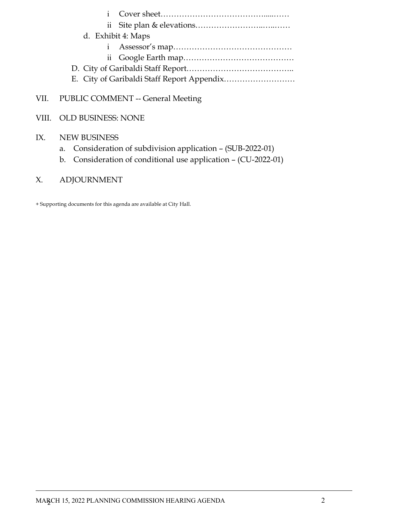| d. Exhibit 4: Maps |                                        |
|--------------------|----------------------------------------|
|                    | VII. PUBLIC COMMENT -- General Meeting |
|                    |                                        |

# IX. NEW BUSINESS

VIII. OLD BUSINESS: NONE

- a. Consideration of subdivision application (SUB-2022-01)
- b. Consideration of conditional use application (CU-2022-01)

## X. ADJOURNMENT

+ Supporting documents for this agenda are available at City Hall.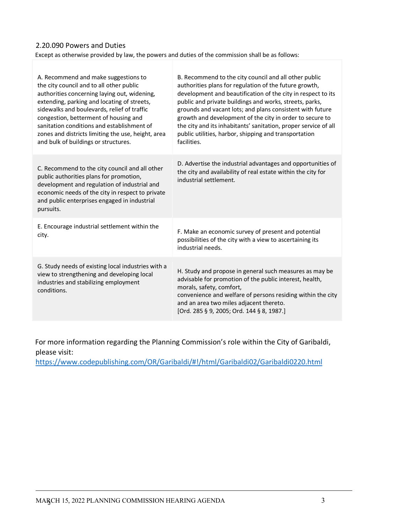### 2.20.090 Powers and Duties

Except as otherwise provided by law, the powers and duties of the commission shall be as follows:

| A. Recommend and make suggestions to<br>the city council and to all other public<br>authorities concerning laying out, widening,<br>extending, parking and locating of streets,<br>sidewalks and boulevards, relief of traffic<br>congestion, betterment of housing and<br>sanitation conditions and establishment of<br>zones and districts limiting the use, height, area<br>and bulk of buildings or structures. | B. Recommend to the city council and all other public<br>authorities plans for regulation of the future growth,<br>development and beautification of the city in respect to its<br>public and private buildings and works, streets, parks,<br>grounds and vacant lots; and plans consistent with future<br>growth and development of the city in order to secure to<br>the city and its inhabitants' sanitation, proper service of all<br>public utilities, harbor, shipping and transportation<br>facilities. |
|---------------------------------------------------------------------------------------------------------------------------------------------------------------------------------------------------------------------------------------------------------------------------------------------------------------------------------------------------------------------------------------------------------------------|----------------------------------------------------------------------------------------------------------------------------------------------------------------------------------------------------------------------------------------------------------------------------------------------------------------------------------------------------------------------------------------------------------------------------------------------------------------------------------------------------------------|
| C. Recommend to the city council and all other<br>public authorities plans for promotion,<br>development and regulation of industrial and<br>economic needs of the city in respect to private<br>and public enterprises engaged in industrial<br>pursuits.                                                                                                                                                          | D. Advertise the industrial advantages and opportunities of<br>the city and availability of real estate within the city for<br>industrial settlement.                                                                                                                                                                                                                                                                                                                                                          |
| E. Encourage industrial settlement within the<br>city.                                                                                                                                                                                                                                                                                                                                                              | F. Make an economic survey of present and potential<br>possibilities of the city with a view to ascertaining its<br>industrial needs.                                                                                                                                                                                                                                                                                                                                                                          |
| G. Study needs of existing local industries with a<br>view to strengthening and developing local<br>industries and stabilizing employment<br>conditions.                                                                                                                                                                                                                                                            | H. Study and propose in general such measures as may be<br>advisable for promotion of the public interest, health,<br>morals, safety, comfort,<br>convenience and welfare of persons residing within the city<br>and an area two miles adjacent thereto.<br>[Ord. 285 § 9, 2005; Ord. 144 § 8, 1987.]                                                                                                                                                                                                          |

For more information regarding the Planning Commission's role within the City of Garibaldi, please visit:

<https://www.codepublishing.com/OR/Garibaldi/#!/html/Garibaldi02/Garibaldi0220.html>